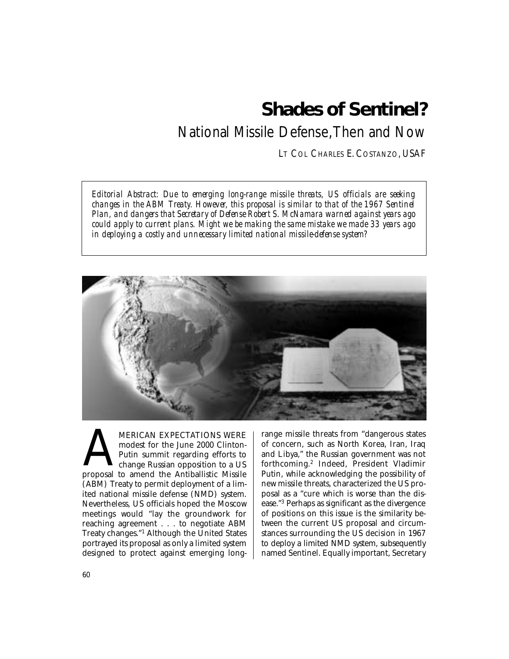# **Shades of Sentinel?**

## National Missile Defense,Then and Now

LT COL CHARLES E. COSTANZO, USAF

*Editorial Abstract: Due to emerging long-range missile threats, US officials are seeking changes in the ABM Treaty. However, this proposal is similar to that of the 1967 Sentinel Plan, and dangers that Secretary of Defense Robert S. McNamara warned against years ago could apply to current plans. Might we be making the same mistake we made 33 years ago in deploying a costly and unnecessary limited national missile-defense system?* 



MERICAN EXPECTATIONS WERE<br>modest for the June 2000 Clinton-<br>Putin summit regarding efforts to<br>change Russian opposition to a US<br>proposal to amend the Antiballistic Missile modest for the June 2000 Clinton-Putin summit regarding efforts to change Russian opposition to a US (ABM) Treaty to permit deployment of a limited national missile defense (NMD) system. Nevertheless, US officials hoped the Moscow meetings would "lay the groundwork for reaching agreement . . . to negotiate ABM Treaty changes."1 Although the United States portrayed its proposal as only a limited system designed to protect against emerging longrange missile threats from "dangerous states of concern, such as North Korea, Iran, Iraq and Libya," the Russian government was not forthcoming.2 Indeed, President Vladimir Putin, while acknowledging the possibility of new missile threats, characterized the US proposal as a "cure which is worse than the disease."3 Perhaps as significant as the divergence of positions on this issue is the similarity between the current US proposal and circumstances surrounding the US decision in 1967 to deploy a limited NMD system, subsequently named Sentinel. Equally important, Secretary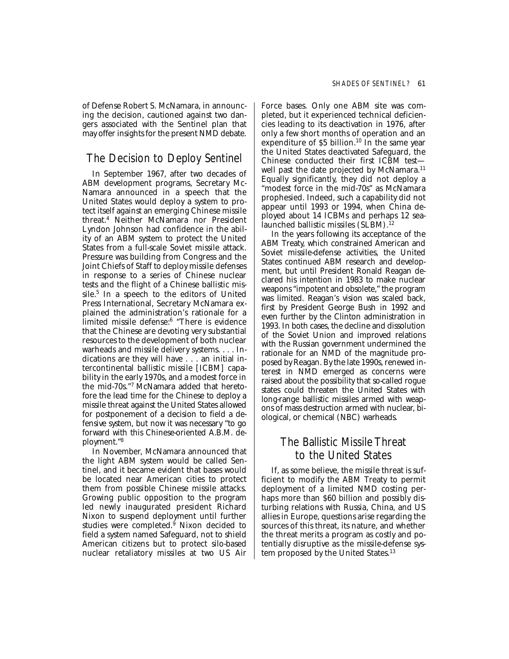of Defense Robert S. McNamara, in announcing the decision, cautioned against two dangers associated with the Sentinel plan that may offer insights for the present NMD debate.

## The Decision to Deploy Sentinel

In September 1967, after two decades of ABM development programs, Secretary Mc-Namara announced in a speech that the United States would deploy a system to protect itself against an emerging Chinese missile threat.4 Neither McNamara nor President Lyndon Johnson had confidence in the ability of an ABM system to protect the United States from a full-scale Soviet missile attack. Pressure was building from Congress and the Joint Chiefs of Staff to deploy missile defenses in response to a series of Chinese nuclear tests and the flight of a Chinese ballistic missile.5 In a speech to the editors of United Press International, Secretary McNamara explained the administration's rationale for a limited missile defense:6 "There is evidence that the Chinese are devoting very substantial resources to the development of both nuclear warheads and missile delivery systems. . . . Indications are they will have . . . an initial intercontinental ballistic missile [ICBM] capability in the early 1970s, and a modest force in the mid-70s."7 McNamara added that heretofore the lead time for the Chinese to deploy a missile threat against the United States allowed for postponement of a decision to field a defensive system, but now it was necessary "to go forward with this Chinese-oriented A.B.M. deployment."8

In November, McNamara announced that the light ABM system would be called Sentinel, and it became evident that bases would be located near American cities to protect them from possible Chinese missile attacks. Growing public opposition to the program led newly inaugurated president Richard Nixon to suspend deployment until further studies were completed.9 Nixon decided to field a system named Safeguard, not to shield American citizens but to protect silo-based nuclear retaliatory missiles at two US Air Force bases. Only one ABM site was completed, but it experienced technical deficiencies leading to its deactivation in 1976, after only a few short months of operation and an expenditure of  $$5$  billion.<sup>10</sup> In the same year the United States deactivated Safeguard, the Chinese conducted their first ICBM test well past the date projected by McNamara.<sup>11</sup> Equally significantly, they did not deploy a "modest force in the mid-70s" as McNamara prophesied. Indeed, such a capability did not appear until 1993 or 1994, when China deployed about 14 ICBMs and perhaps 12 sealaunched ballistic missiles (SLBM).<sup>12</sup>

In the years following its acceptance of the ABM Treaty, which constrained American and Soviet missile-defense activities, the United States continued ABM research and development, but until President Ronald Reagan declared his intention in 1983 to make nuclear weapons "impotent and obsolete," the program was limited. Reagan's vision was scaled back, first by President George Bush in 1992 and even further by the Clinton administration in 1993. In both cases, the decline and dissolution of the Soviet Union and improved relations with the Russian government undermined the rationale for an NMD of the magnitude proposed by Reagan. By the late 1990s, renewed interest in NMD emerged as concerns were raised about the possibility that so-called rogue states could threaten the United States with long-range ballistic missiles armed with weapons of mass destruction armed with nuclear, biological, or chemical (NBC) warheads.

## The Ballistic Missile Threat to the United States

If, as some believe, the missile threat is sufficient to modify the ABM Treaty to permit deployment of a limited NMD costing perhaps more than \$60 billion and possibly disturbing relations with Russia, China, and US allies in Europe, questions arise regarding the sources of this threat, its nature, and whether the threat merits a program as costly and potentially disruptive as the missile-defense system proposed by the United States.<sup>13</sup>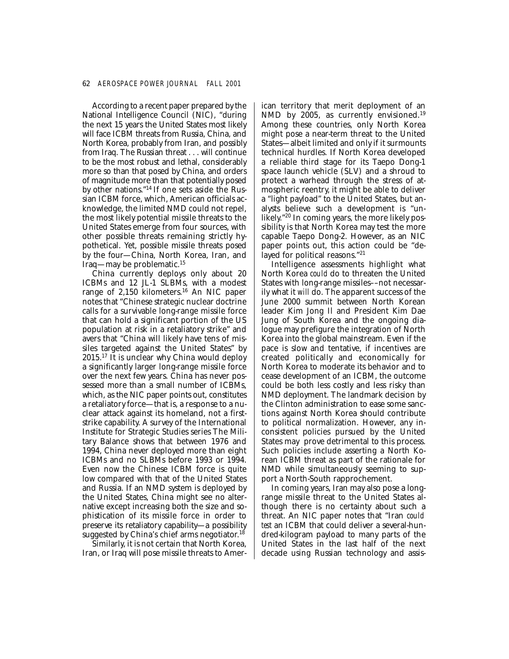#### 62 *AEROSPACE POWER JOURNAL FALL 2001*

According to a recent paper prepared by the National Intelligence Council (NIC), "during the next 15 years the United States most likely will face ICBM threats from Russia, China, and North Korea, probably from Iran, and possibly from Iraq. The Russian threat . . . will continue to be the most robust and lethal, considerably more so than that posed by China, and orders of magnitude more than that potentially posed by other nations."14 If one sets aside the Russian ICBM force, which, American officials acknowledge, the limited NMD could not repel, the most likely potential missile threats to the United States emerge from four sources, with other possible threats remaining strictly hypothetical. Yet, possible missile threats posed by the four—China, North Korea, Iran, and Iraq—may be problematic.15

China currently deploys only about 20 ICBMs and 12 JL-1 SLBMs, with a modest range of 2,150 kilometers.<sup>16</sup> An NIC paper notes that "Chinese strategic nuclear doctrine calls for a survivable long-range missile force that can hold a significant portion of the US population at risk in a retaliatory strike" and avers that "China will likely have tens of missiles targeted against the United States" by 2015.17 It is unclear why China would deploy a significantly larger long-range missile force over the next few years. China has never possessed more than a small number of ICBMs, which, as the NIC paper points out, constitutes a retaliatory force—that is, a response to a nuclear attack against its homeland, not a firststrike capability. A survey of the International Institute for Strategic Studies series The Military Balance shows that between 1976 and 1994, China never deployed more than eight ICBMs and no SLBMs before 1993 or 1994. Even now the Chinese ICBM force is quite low compared with that of the United States and Russia. If an NMD system is deployed by the United States, China might see no alternative except increasing both the size and sophistication of its missile force in order to preserve its retaliatory capability—a possibility suggested by China's chief arms negotiator. 18

Similarly, it is not certain that North Korea, Iran, or Iraq will pose missile threats to American territory that merit deployment of an NMD by 2005, as currently envisioned.<sup>19</sup> Among these countries, only North Korea might pose a near-term threat to the United States—albeit limited and only if it surmounts technical hurdles. If North Korea developed a reliable third stage for its Taepo Dong-1 space launch vehicle (SLV) and a shroud to protect a warhead through the stress of atmospheric reentry, it might be able to deliver a "light payload" to the United States, but analysts believe such a development is "unlikely."20 In coming years, the more likely possibility is that North Korea may test the more capable Taepo Dong-2. However, as an NIC paper points out, this action could be "delayed for political reasons."21

Intelligence assessments highlight what North Korea *could* do to threaten the United States with long-range missiles––not necessarily what it *will* do. The apparent success of the June 2000 summit between North Korean leader Kim Jong Il and President Kim Dae Jung of South Korea and the ongoing dialogue may prefigure the integration of North Korea into the global mainstream. Even if the pace is slow and tentative, if incentives are created politically and economically for North Korea to moderate its behavior and to cease development of an ICBM, the outcome could be both less costly and less risky than NMD deployment. The landmark decision by the Clinton administration to ease some sanctions against North Korea should contribute to political normalization. However, any inconsistent policies pursued by the United States may prove detrimental to this process. Such policies include asserting a North Korean ICBM threat as part of the rationale for NMD while simultaneously seeming to support a North-South rapprochement.

In coming years, Iran may also pose a longrange missile threat to the United States although there is no certainty about such a threat. An NIC paper notes that "Iran *could test* an ICBM that could deliver a several-hundred-kilogram payload to many parts of the United States in the last half of the next decade using Russian technology and assis-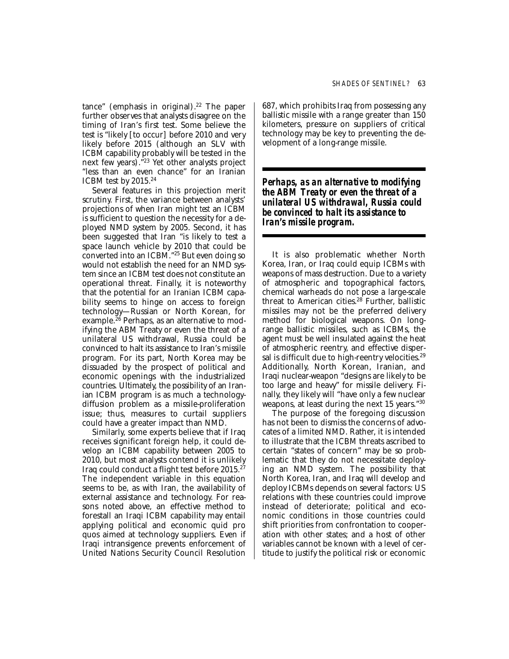tance" (emphasis in original).<sup>22</sup> The paper further observes that analysts disagree on the timing of Iran's first test. Some believe the test is "likely [to occur] before 2010 and very likely before 2015 (although an SLV with ICBM capability probably will be tested in the next few years)."23 Yet other analysts project "less than an even chance" for an Iranian ICBM test by 2015.24

Several features in this projection merit scrutiny. First, the variance between analysts' projections of when Iran might *test* an ICBM is sufficient to question the necessity for a deployed NMD system by 2005. Second, it has been suggested that Iran "is likely to test a space launch vehicle by 2010 that could be converted into an ICBM."25 But even doing so would not establish the need for an NMD system since an ICBM test does not constitute an operational threat. Finally, it is noteworthy that the potential for an Iranian ICBM capability seems to hinge on access to foreign technology—Russian or North Korean, for example.<sup>26</sup> Perhaps, as an alternative to modifying the ABM Treaty or even the threat of a unilateral US withdrawal, Russia could be convinced to halt its assistance to Iran's missile program. For its part, North Korea may be dissuaded by the prospect of political and economic openings with the industrialized countries. Ultimately, the possibility of an Iranian ICBM program is as much a technologydiffusion problem as a missile-proliferation issue; thus, measures to curtail suppliers could have a greater impact than NMD.

Similarly, some experts believe that if Iraq receives significant foreign help, it could develop an ICBM capability between 2005 to 2010, but most analysts contend it is unlikely Iraq could conduct a flight test before 2015.27 The independent variable in this equation seems to be, as with Iran, the availability of external assistance and technology. For reasons noted above, an effective method to forestall an Iraqi ICBM capability may entail applying political and economic quid pro quos aimed at technology suppliers. Even if Iraqi intransigence prevents enforcement of United Nations Security Council Resolution 687, which prohibits Iraq from possessing any ballistic missile with a range greater than 150 kilometers, pressure on suppliers of critical technology may be key to preventing the development of a long-range missile.

*Perhaps, as an alternative to modifying the ABM Treaty or even the threat of a unilateral US withdrawal, Russia could be convinced to halt its assistance to Iran's missile program.* 

It is also problematic whether North Korea, Iran, or Iraq could equip ICBMs with weapons of mass destruction. Due to a variety of atmospheric and topographical factors, chemical warheads do not pose a large-scale threat to American cities.<sup>28</sup> Further, ballistic missiles may not be the preferred delivery method for biological weapons. On longrange ballistic missiles, such as ICBMs, the agent must be well insulated against the heat of atmospheric reentry, and effective dispersal is difficult due to high-reentry velocities.<sup>29</sup> Additionally, North Korean, Iranian, and Iraqi nuclear-weapon "designs are likely to be too large and heavy" for missile delivery. Finally, they likely will "have only a few nuclear weapons, at least during the next 15 years."30

The purpose of the foregoing discussion has not been to dismiss the concerns of advocates of a limited NMD. Rather, it is intended to illustrate that the ICBM threats ascribed to certain "states of concern" may be so problematic that they do not necessitate deploying an NMD system. The possibility that North Korea, Iran, and Iraq will develop and deploy ICBMs depends on several factors: US relations with these countries could improve instead of deteriorate; political and economic conditions in those countries could shift priorities from confrontation to cooperation with other states; and a host of other variables cannot be known with a level of certitude to justify the political risk or economic